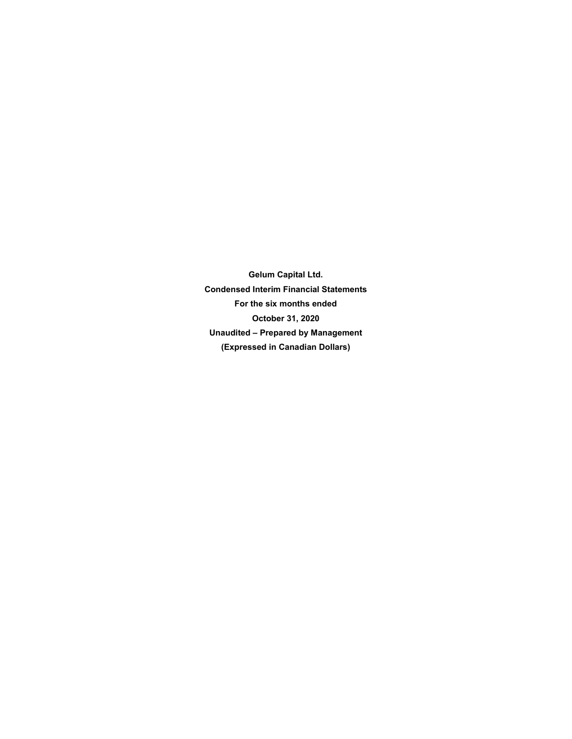**Gelum Capital Ltd. Condensed Interim Financial Statements For the six months ended October 31, 2020 Unaudited – Prepared by Management (Expressed in Canadian Dollars)**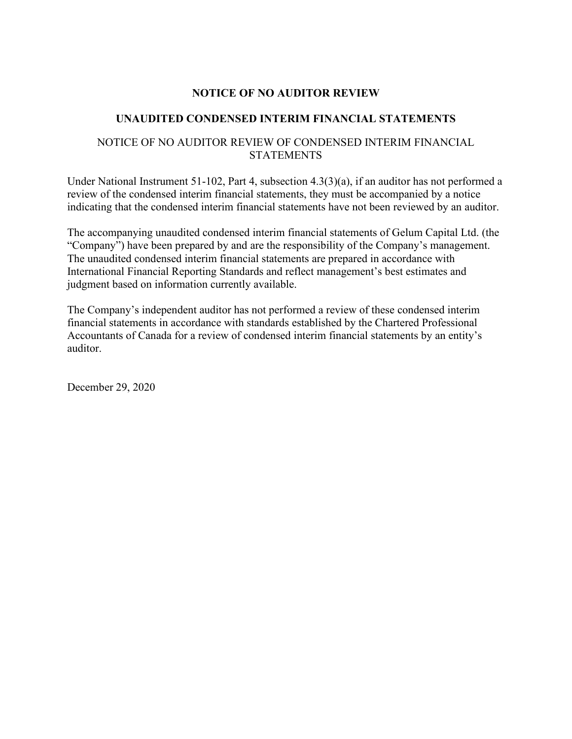## **NOTICE OF NO AUDITOR REVIEW**

## **UNAUDITED CONDENSED INTERIM FINANCIAL STATEMENTS**

## NOTICE OF NO AUDITOR REVIEW OF CONDENSED INTERIM FINANCIAL **STATEMENTS**

Under National Instrument 51-102, Part 4, subsection 4.3(3)(a), if an auditor has not performed a review of the condensed interim financial statements, they must be accompanied by a notice indicating that the condensed interim financial statements have not been reviewed by an auditor.

The accompanying unaudited condensed interim financial statements of Gelum Capital Ltd. (the "Company") have been prepared by and are the responsibility of the Company's management. The unaudited condensed interim financial statements are prepared in accordance with International Financial Reporting Standards and reflect management's best estimates and judgment based on information currently available.

The Company's independent auditor has not performed a review of these condensed interim financial statements in accordance with standards established by the Chartered Professional Accountants of Canada for a review of condensed interim financial statements by an entity's auditor.

December 29, 2020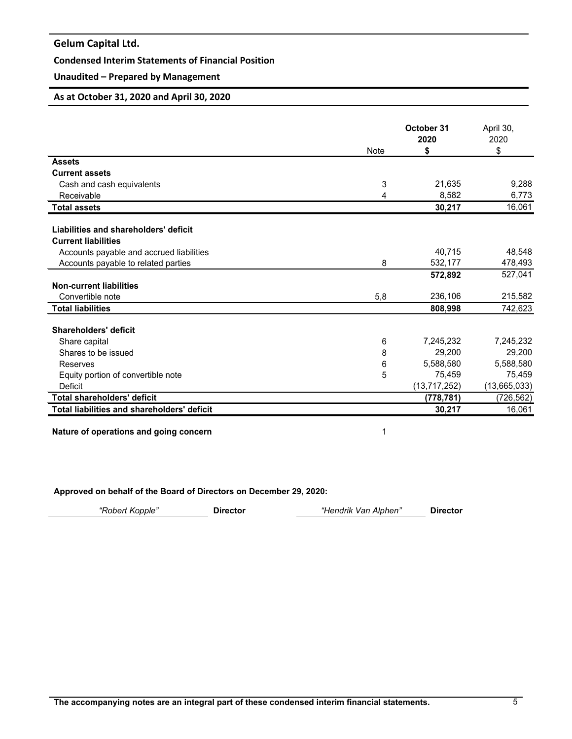## **Condensed Interim Statements of Financial Position**

## **Unaudited – Prepared by Management**

## **As at October 31, 2020 and April 30, 2020**

|                                                    |      | October 31<br>2020 | April 30,<br>2020 |
|----------------------------------------------------|------|--------------------|-------------------|
|                                                    | Note | \$                 | \$                |
| <b>Assets</b>                                      |      |                    |                   |
| <b>Current assets</b>                              |      |                    |                   |
| Cash and cash equivalents                          | 3    | 21,635             | 9,288             |
| Receivable                                         | 4    | 8,582              | 6,773             |
| <b>Total assets</b>                                |      | 30,217             | 16,061            |
|                                                    |      |                    |                   |
| Liabilities and shareholders' deficit              |      |                    |                   |
| <b>Current liabilities</b>                         |      |                    |                   |
| Accounts payable and accrued liabilities           |      | 40.715             | 48,548            |
| Accounts payable to related parties                | 8    | 532,177            | 478,493           |
|                                                    |      | 572,892            | 527,041           |
| <b>Non-current liabilities</b>                     |      |                    |                   |
| Convertible note                                   | 5,8  | 236,106            | 215,582           |
| <b>Total liabilities</b>                           |      | 808,998            | 742,623           |
| Shareholders' deficit                              |      |                    |                   |
| Share capital                                      | 6    | 7,245,232          | 7,245,232         |
| Shares to be issued                                | 8    | 29,200             | 29,200            |
| Reserves                                           | 6    | 5,588,580          | 5,588,580         |
| Equity portion of convertible note                 | 5    | 75,459             | 75,459            |
| Deficit                                            |      | (13, 717, 252)     | (13,665,033)      |
| <b>Total shareholders' deficit</b>                 |      | (778, 781)         | (726, 562)        |
| <b>Total liabilities and shareholders' deficit</b> |      | 30,217             | 16,061            |

**Nature of operations and going concern** 1

**Approved on behalf of the Board of Directors on December 29, 2020:**

| "Robert Kopple" | Director | "Hendrik Van Alphen" | <b>Director</b> |
|-----------------|----------|----------------------|-----------------|
|                 |          |                      |                 |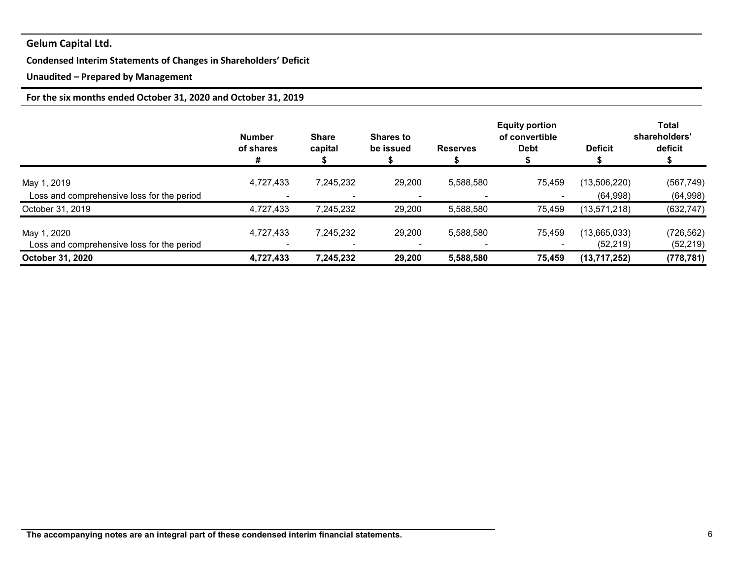## **Condensed Interim Statements of Changes in Shareholders' Deficit**

## **Unaudited – Prepared by Management**

## **For the six months ended October 31, 2020 and October 31, 2019**

|                                                           | <b>Number</b><br>of shares<br># | <b>Share</b><br>capital               | <b>Shares to</b><br>be issued | <b>Reserves</b> | <b>Equity portion</b><br>of convertible<br><b>Debt</b> | <b>Deficit</b>            | <b>Total</b><br>shareholders'<br>deficit |
|-----------------------------------------------------------|---------------------------------|---------------------------------------|-------------------------------|-----------------|--------------------------------------------------------|---------------------------|------------------------------------------|
| May 1, 2019                                               | 4,727,433                       | 7,245,232                             | 29,200                        | 5,588,580       | 75,459                                                 | (13,506,220)              | (567, 749)                               |
| Loss and comprehensive loss for the period                |                                 |                                       |                               |                 |                                                        | (64,998)                  | (64,998)                                 |
| October 31, 2019                                          | 4,727,433                       | 7,245,232                             | 29,200                        | 5,588,580       | 75,459                                                 | (13,571,218)              | (632, 747)                               |
| May 1, 2020<br>Loss and comprehensive loss for the period | 4,727,433                       | 7,245,232<br>$\overline{\phantom{a}}$ | 29,200                        | 5,588,580       | 75,459                                                 | (13,665,033)<br>(52, 219) | (726, 562)<br>(52, 219)                  |
| October 31, 2020                                          | 4,727,433                       | 7,245,232                             | 29,200                        | 5,588,580       | 75,459                                                 | (13,717,252)              | (778, 781)                               |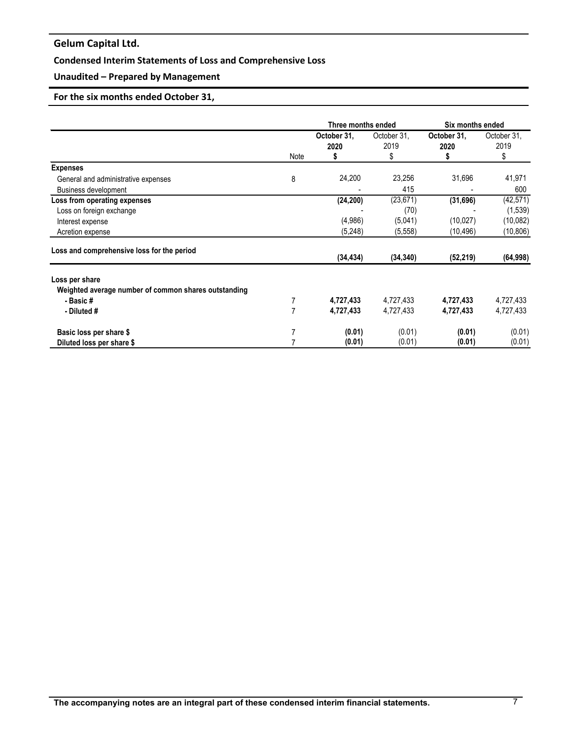## **Condensed Interim Statements of Loss and Comprehensive Loss**

## **Unaudited – Prepared by Management**

## **For the six months ended October 31,**

|                                                             |      | Three months ended  |                     |                     | Six months ended    |  |
|-------------------------------------------------------------|------|---------------------|---------------------|---------------------|---------------------|--|
|                                                             |      | October 31,<br>2020 | October 31,<br>2019 | October 31,<br>2020 | October 31,<br>2019 |  |
|                                                             | Note | 5                   | \$                  | 5                   | \$                  |  |
| <b>Expenses</b><br>General and administrative expenses      | 8    | 24,200              | 23,256<br>415       | 31,696              | 41,971<br>600       |  |
| <b>Business development</b><br>Loss from operating expenses |      | (24, 200)           | (23, 671)           | (31,696)            | (42, 571)           |  |
| Loss on foreign exchange                                    |      |                     | (70)                |                     | (1,539)             |  |
| Interest expense                                            |      | (4,986)             | (5,041)             | (10, 027)           | (10,082)            |  |
| Acretion expense                                            |      | (5,248)             | (5, 558)            | (10,496)            | (10, 806)           |  |
| Loss and comprehensive loss for the period                  |      | (34, 434)           | (34, 340)           | (52, 219)           | (64, 998)           |  |
| Loss per share                                              |      |                     |                     |                     |                     |  |
| Weighted average number of common shares outstanding        |      |                     |                     |                     |                     |  |
| - Basic#                                                    |      | 4,727,433           | 4,727,433           | 4,727,433           | 4,727,433           |  |
| - Diluted #                                                 | 7    | 4,727,433           | 4,727,433           | 4,727,433           | 4,727,433           |  |
| Basic loss per share \$                                     |      | (0.01)              | (0.01)              | (0.01)              | (0.01)              |  |
| Diluted loss per share \$                                   |      | (0.01)              | (0.01)              | (0.01)              | (0.01)              |  |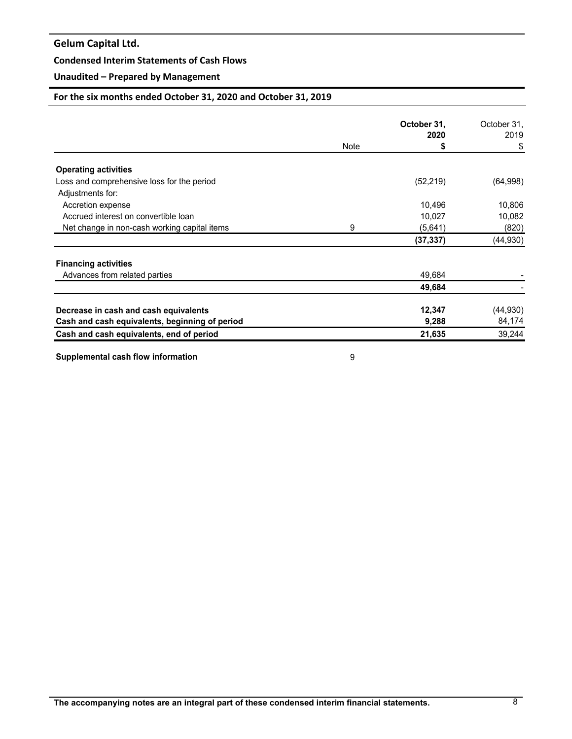### **Condensed Interim Statements of Cash Flows**

## **Unaudited – Prepared by Management**

## **For the six months ended October 31, 2020 and October 31, 2019**

|                                                |      | October 31, | October 31, |
|------------------------------------------------|------|-------------|-------------|
|                                                |      | 2020        | 2019        |
|                                                | Note | S           | \$          |
| <b>Operating activities</b>                    |      |             |             |
| Loss and comprehensive loss for the period     |      | (52, 219)   | (64, 998)   |
| Adjustments for:                               |      |             |             |
| Accretion expense                              |      | 10,496      | 10,806      |
| Accrued interest on convertible loan           |      | 10,027      | 10,082      |
| Net change in non-cash working capital items   | 9    | (5,641)     | (820)       |
|                                                |      | (37, 337)   | (44, 930)   |
| <b>Financing activities</b>                    |      |             |             |
| Advances from related parties                  |      | 49,684      |             |
|                                                |      | 49,684      |             |
| Decrease in cash and cash equivalents          |      | 12,347      | (44, 930)   |
| Cash and cash equivalents, beginning of period |      | 9,288       | 84,174      |
| Cash and cash equivalents, end of period       |      | 21,635      | 39,244      |

**Supplemental cash flow information** 8 and 1 and 1 and 1 and 1 and 1 and 1 and 1 and 1 and 1 and 1 and 1 and 1 and 1 and 1 and 1 and 1 and 1 and 1 and 1 and 1 and 1 and 1 and 1 and 1 and 1 and 1 and 1 and 1 and 1 and 1 and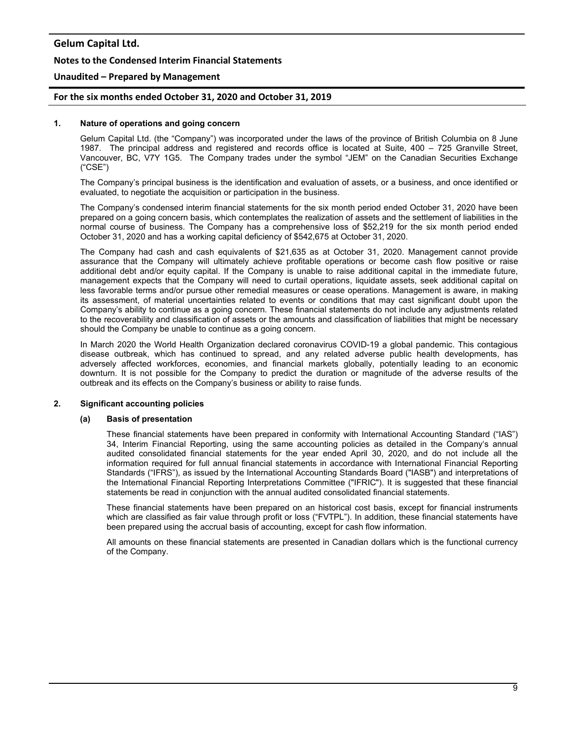#### **Notes to the Condensed Interim Financial Statements**

#### **Unaudited – Prepared by Management**

#### **For the six months ended October 31, 2020 and October 31, 2019**

#### **1. Nature of operations and going concern**

Gelum Capital Ltd. (the "Company") was incorporated under the laws of the province of British Columbia on 8 June 1987. The principal address and registered and records office is located at Suite, 400 – 725 Granville Street, Vancouver, BC, V7Y 1G5. The Company trades under the symbol "JEM" on the Canadian Securities Exchange ("CSE")

The Company's principal business is the identification and evaluation of assets, or a business, and once identified or evaluated, to negotiate the acquisition or participation in the business.

The Company's condensed interim financial statements for the six month period ended October 31, 2020 have been prepared on a going concern basis, which contemplates the realization of assets and the settlement of liabilities in the normal course of business. The Company has a comprehensive loss of \$52,219 for the six month period ended October 31, 2020 and has a working capital deficiency of \$542,675 at October 31, 2020.

The Company had cash and cash equivalents of \$21,635 as at October 31, 2020. Management cannot provide assurance that the Company will ultimately achieve profitable operations or become cash flow positive or raise additional debt and/or equity capital. If the Company is unable to raise additional capital in the immediate future, management expects that the Company will need to curtail operations, liquidate assets, seek additional capital on less favorable terms and/or pursue other remedial measures or cease operations. Management is aware, in making its assessment, of material uncertainties related to events or conditions that may cast significant doubt upon the Company's ability to continue as a going concern. These financial statements do not include any adjustments related to the recoverability and classification of assets or the amounts and classification of liabilities that might be necessary should the Company be unable to continue as a going concern.

In March 2020 the World Health Organization declared coronavirus COVID-19 a global pandemic. This contagious disease outbreak, which has continued to spread, and any related adverse public health developments, has adversely affected workforces, economies, and financial markets globally, potentially leading to an economic downturn. It is not possible for the Company to predict the duration or magnitude of the adverse results of the outbreak and its effects on the Company's business or ability to raise funds.

#### **2. Significant accounting policies**

#### **(a) Basis of presentation**

These financial statements have been prepared in conformity with International Accounting Standard ("IAS") 34, Interim Financial Reporting, using the same accounting policies as detailed in the Company's annual audited consolidated financial statements for the year ended April 30, 2020, and do not include all the information required for full annual financial statements in accordance with International Financial Reporting Standards ("IFRS"), as issued by the International Accounting Standards Board ("IASB") and interpretations of the International Financial Reporting Interpretations Committee ("IFRIC"). It is suggested that these financial statements be read in conjunction with the annual audited consolidated financial statements.

These financial statements have been prepared on an historical cost basis, except for financial instruments which are classified as fair value through profit or loss ("FVTPL"). In addition, these financial statements have been prepared using the accrual basis of accounting, except for cash flow information.

All amounts on these financial statements are presented in Canadian dollars which is the functional currency of the Company.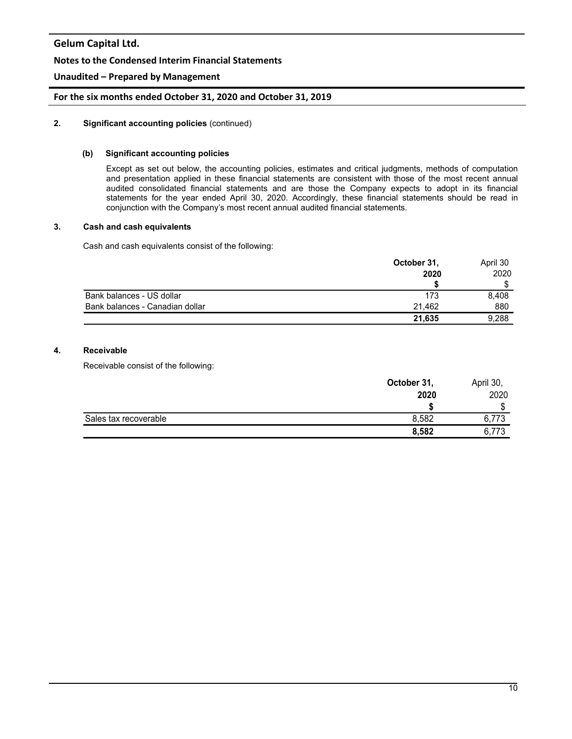### **Notes to the Condensed Interim Financial Statements**

## **Unaudited – Prepared by Management**

### **For the six months ended October 31, 2020 and October 31, 2019**

#### **2. Significant accounting policies** (continued)

#### **(b) Significant accounting policies**

Except as set out below, the accounting policies, estimates and critical judgments, methods of computation and presentation applied in these financial statements are consistent with those of the most recent annual audited consolidated financial statements and are those the Company expects to adopt in its financial statements for the year ended April 30, 2020. Accordingly, these financial statements should be read in conjunction with the Company's most recent annual audited financial statements.

#### **3. Cash and cash equivalents**

Cash and cash equivalents consist of the following:

|                                 | October 31, | April 30 |  |
|---------------------------------|-------------|----------|--|
|                                 | 2020        | 2020     |  |
|                                 |             |          |  |
| Bank balances - US dollar       | 173         | 8.408    |  |
| Bank balances - Canadian dollar | 21.462      | 880      |  |
|                                 | 21,635      | 9,288    |  |

### **4. Receivable**

Receivable consist of the following:

|                       | October 31, | April 30, |
|-----------------------|-------------|-----------|
|                       | 2020        | 2020      |
|                       |             | ጦ<br>D    |
| Sales tax recoverable | 8,582       | 6,773     |
|                       | 8,582       | 6,773     |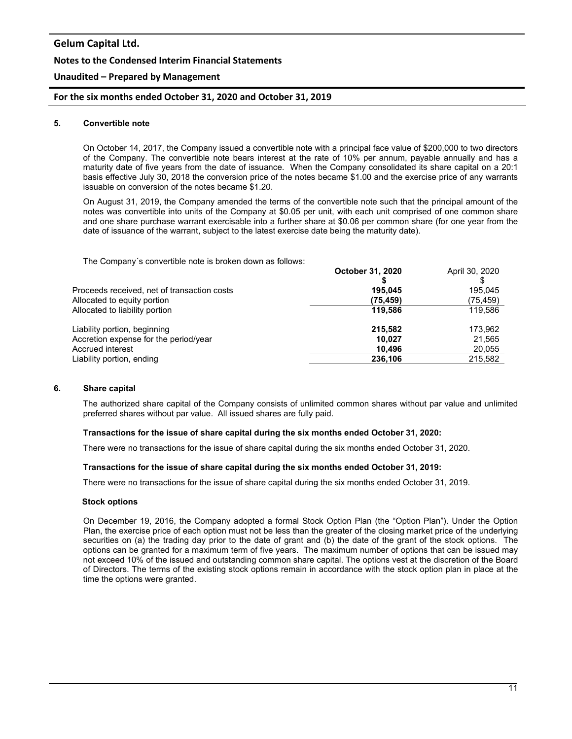# **Gelum Capital Ltd. Notes to the Condensed Interim Financial Statements**

## **Unaudited – Prepared by Management**

## **For the six months ended October 31, 2020 and October 31, 2019**

#### **5. Convertible note**

On October 14, 2017, the Company issued a convertible note with a principal face value of \$200,000 to two directors of the Company. The convertible note bears interest at the rate of 10% per annum, payable annually and has a maturity date of five years from the date of issuance. When the Company consolidated its share capital on a 20:1 basis effective July 30, 2018 the conversion price of the notes became \$1.00 and the exercise price of any warrants issuable on conversion of the notes became \$1.20.

On August 31, 2019, the Company amended the terms of the convertible note such that the principal amount of the notes was convertible into units of the Company at \$0.05 per unit, with each unit comprised of one common share and one share purchase warrant exercisable into a further share at \$0.06 per common share (for one year from the date of issuance of the warrant, subject to the latest exercise date being the maturity date).

The Company´s convertible note is broken down as follows:

| THE OUTIDATIY 3 CONVENIDIO HOLE IS DIONEN GOWN AS IOIIOWS. |                  |                |
|------------------------------------------------------------|------------------|----------------|
|                                                            | October 31, 2020 | April 30, 2020 |
|                                                            |                  |                |
| Proceeds received, net of transaction costs                | 195.045          | 195.045        |
| Allocated to equity portion                                | (75, 459)        | (75,459)       |
| Allocated to liability portion                             | 119.586          | 119,586        |
| Liability portion, beginning                               | 215,582          | 173,962        |
| Accretion expense for the period/year                      | 10.027           | 21,565         |
| Accrued interest                                           | 10.496           | 20,055         |
| Liability portion, ending                                  | 236,106          | 215,582        |
|                                                            |                  |                |

#### **6. Share capital**

The authorized share capital of the Company consists of unlimited common shares without par value and unlimited preferred shares without par value. All issued shares are fully paid.

#### **Transactions for the issue of share capital during the six months ended October 31, 2020:**

There were no transactions for the issue of share capital during the six months ended October 31, 2020.

#### **Transactions for the issue of share capital during the six months ended October 31, 2019:**

There were no transactions for the issue of share capital during the six months ended October 31, 2019.

#### **Stock options**

On December 19, 2016, the Company adopted a formal Stock Option Plan (the "Option Plan"). Under the Option Plan, the exercise price of each option must not be less than the greater of the closing market price of the underlying securities on (a) the trading day prior to the date of grant and (b) the date of the grant of the stock options. The options can be granted for a maximum term of five years. The maximum number of options that can be issued may not exceed 10% of the issued and outstanding common share capital. The options vest at the discretion of the Board of Directors. The terms of the existing stock options remain in accordance with the stock option plan in place at the time the options were granted.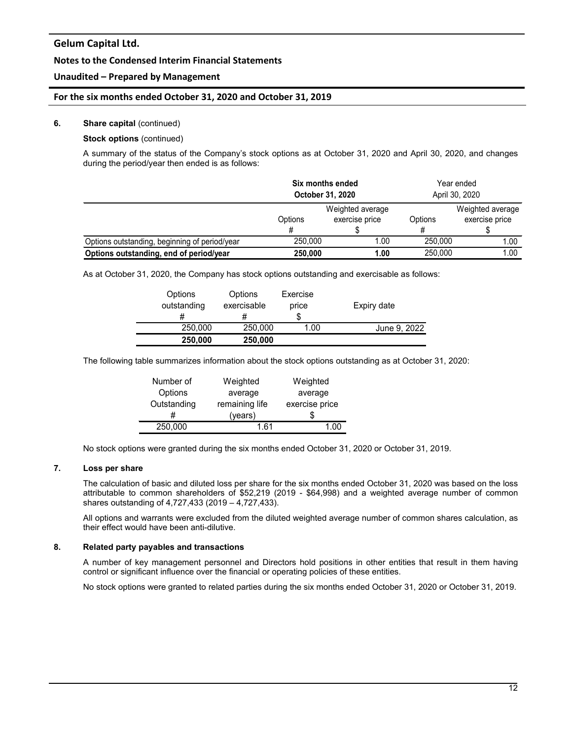### **Notes to the Condensed Interim Financial Statements**

### **Unaudited – Prepared by Management**

#### **For the six months ended October 31, 2020 and October 31, 2019**

#### **6. Share capital** (continued)

## **Stock options** (continued)

A summary of the status of the Company's stock options as at October 31, 2020 and April 30, 2020, and changes during the period/year then ended is as follows:

|                                               | Six months ended               |      | Year ended     |                  |  |
|-----------------------------------------------|--------------------------------|------|----------------|------------------|--|
|                                               | <b>October 31, 2020</b>        |      | April 30, 2020 |                  |  |
|                                               | Weighted average               |      |                | Weighted average |  |
|                                               | exercise price<br>Options<br># |      | Options        | exercise price   |  |
|                                               |                                |      |                |                  |  |
| Options outstanding, beginning of period/year | 250.000                        | 1.00 | 250,000        | 1.00             |  |
| Options outstanding, end of period/year       | 250,000                        | 1.00 | 250,000        | 1.00             |  |

As at October 31, 2020, the Company has stock options outstanding and exercisable as follows:

| Options<br>outstanding | Options<br>exercisable<br># | Exercise<br>price<br>S | Expiry date  |
|------------------------|-----------------------------|------------------------|--------------|
| 250,000                | 250,000                     | 1.00                   | June 9, 2022 |
| 250,000                | 250,000                     |                        |              |

The following table summarizes information about the stock options outstanding as at October 31, 2020:

| Number of   | Weighted       | Weighted       |
|-------------|----------------|----------------|
| Options     | average        | average        |
| Outstanding | remaining life | exercise price |
|             | (years)        |                |
| 250,000     | 1 61           | 1 በበ           |

No stock options were granted during the six months ended October 31, 2020 or October 31, 2019.

## **7. Loss per share**

The calculation of basic and diluted loss per share for the six months ended October 31, 2020 was based on the loss attributable to common shareholders of \$52,219 (2019 - \$64,998) and a weighted average number of common shares outstanding of 4,727,433 (2019 – 4,727,433).

All options and warrants were excluded from the diluted weighted average number of common shares calculation, as their effect would have been anti-dilutive.

#### **8. Related party payables and transactions**

A number of key management personnel and Directors hold positions in other entities that result in them having control or significant influence over the financial or operating policies of these entities.

No stock options were granted to related parties during the six months ended October 31, 2020 or October 31, 2019.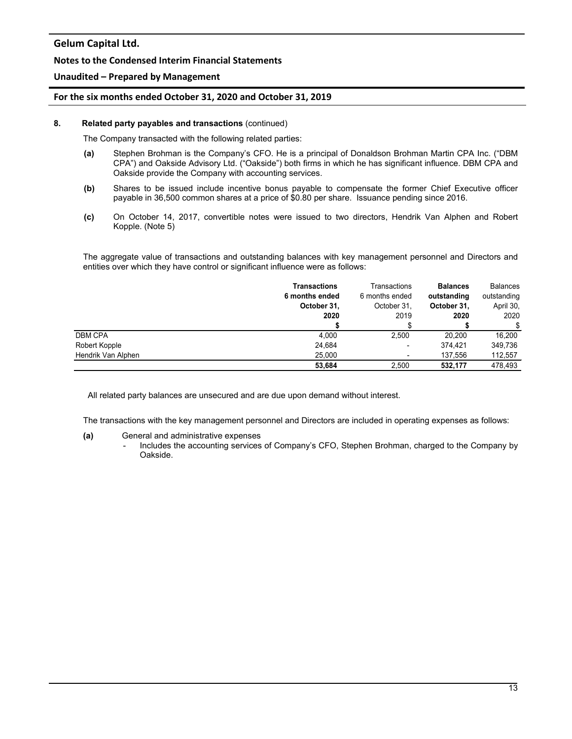#### **Notes to the Condensed Interim Financial Statements**

### **Unaudited – Prepared by Management**

#### **For the six months ended October 31, 2020 and October 31, 2019**

#### **8. Related party payables and transactions** (continued)

The Company transacted with the following related parties:

- **(a)** Stephen Brohman is the Company's CFO. He is a principal of Donaldson Brohman Martin CPA Inc. ("DBM CPA") and Oakside Advisory Ltd. ("Oakside") both firms in which he has significant influence. DBM CPA and Oakside provide the Company with accounting services.
- **(b)** Shares to be issued include incentive bonus payable to compensate the former Chief Executive officer payable in 36,500 common shares at a price of \$0.80 per share. Issuance pending since 2016.
- **(c)** On October 14, 2017, convertible notes were issued to two directors, Hendrik Van Alphen and Robert Kopple. (Note 5)

The aggregate value of transactions and outstanding balances with key management personnel and Directors and entities over which they have control or significant influence were as follows:

|                    | <b>Transactions</b><br>6 months ended<br>October 31,<br>2020 | Transactions<br>6 months ended<br>October 31.<br>2019 | <b>Balances</b><br>outstanding<br>October 31,<br>2020 | <b>Balances</b><br>outstanding<br>April 30,<br>2020 |
|--------------------|--------------------------------------------------------------|-------------------------------------------------------|-------------------------------------------------------|-----------------------------------------------------|
|                    |                                                              |                                                       |                                                       | \$                                                  |
| <b>DBM CPA</b>     | 4.000                                                        | 2.500                                                 | 20,200                                                | 16.200                                              |
| Robert Kopple      | 24,684                                                       | -                                                     | 374.421                                               | 349.736                                             |
| Hendrik Van Alphen | 25,000                                                       |                                                       | 137.556                                               | 112,557                                             |
|                    | 53.684                                                       | 2.500                                                 | 532.177                                               | 478.493                                             |

All related party balances are unsecured and are due upon demand without interest.

The transactions with the key management personnel and Directors are included in operating expenses as follows:

#### **(a)** General and administrative expenses

- Includes the accounting services of Company's CFO, Stephen Brohman, charged to the Company by Oakside.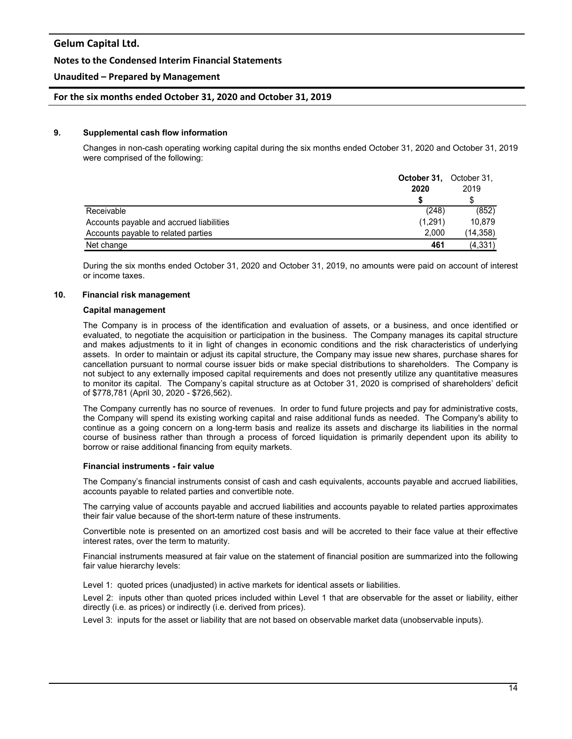#### **Notes to the Condensed Interim Financial Statements**

### **Unaudited – Prepared by Management**

#### **For the six months ended October 31, 2020 and October 31, 2019**

#### **9. Supplemental cash flow information**

Changes in non-cash operating working capital during the six months ended October 31, 2020 and October 31, 2019 were comprised of the following:

|                                          | <b>October 31.</b> October 31. |           |
|------------------------------------------|--------------------------------|-----------|
|                                          | 2020                           | 2019      |
|                                          |                                |           |
| Receivable                               | (248)                          | (852)     |
| Accounts payable and accrued liabilities | (1.291)                        | 10.879    |
| Accounts payable to related parties      | 2.000                          | (14, 358) |
| Net change                               | 461                            | (4, 331)  |

During the six months ended October 31, 2020 and October 31, 2019, no amounts were paid on account of interest or income taxes.

#### **10. Financial risk management**

#### **Capital management**

The Company is in process of the identification and evaluation of assets, or a business, and once identified or evaluated, to negotiate the acquisition or participation in the business. The Company manages its capital structure and makes adjustments to it in light of changes in economic conditions and the risk characteristics of underlying assets. In order to maintain or adjust its capital structure, the Company may issue new shares, purchase shares for cancellation pursuant to normal course issuer bids or make special distributions to shareholders. The Company is not subject to any externally imposed capital requirements and does not presently utilize any quantitative measures to monitor its capital. The Company's capital structure as at October 31, 2020 is comprised of shareholders' deficit of \$778,781 (April 30, 2020 - \$726,562).

The Company currently has no source of revenues. In order to fund future projects and pay for administrative costs, the Company will spend its existing working capital and raise additional funds as needed. The Company's ability to continue as a going concern on a long-term basis and realize its assets and discharge its liabilities in the normal course of business rather than through a process of forced liquidation is primarily dependent upon its ability to borrow or raise additional financing from equity markets.

#### **Financial instruments - fair value**

The Company's financial instruments consist of cash and cash equivalents, accounts payable and accrued liabilities, accounts payable to related parties and convertible note.

The carrying value of accounts payable and accrued liabilities and accounts payable to related parties approximates their fair value because of the short-term nature of these instruments.

Convertible note is presented on an amortized cost basis and will be accreted to their face value at their effective interest rates, over the term to maturity.

Financial instruments measured at fair value on the statement of financial position are summarized into the following fair value hierarchy levels:

Level 1: quoted prices (unadjusted) in active markets for identical assets or liabilities.

Level 2: inputs other than quoted prices included within Level 1 that are observable for the asset or liability, either directly (i.e. as prices) or indirectly (i.e. derived from prices).

Level 3: inputs for the asset or liability that are not based on observable market data (unobservable inputs).